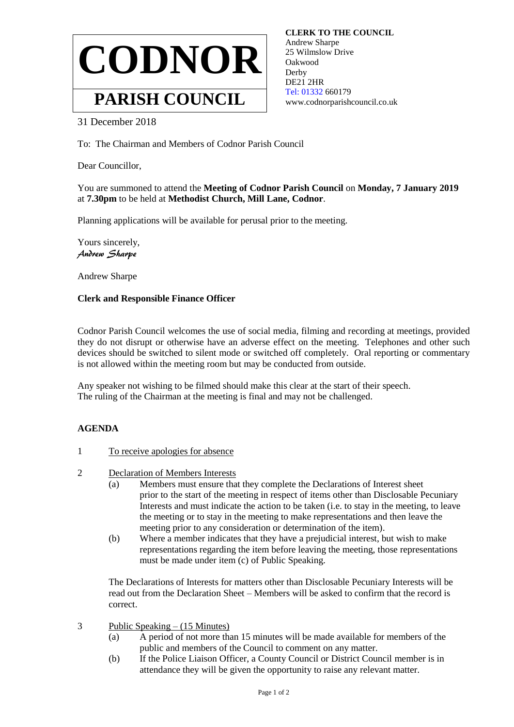

 **CLERK TO THE COUNCIL** Andrew Sharpe 25 Wilmslow Drive Oakwood **Derby**  DE21 2HR  [Tel: 01332](tel:01332) 660179 www.codnorparishcouncil.co.uk

## 31 December 2018

To: The Chairman and Members of Codnor Parish Council

Dear Councillor,

You are summoned to attend the **Meeting of Codnor Parish Council** on **Monday, 7 January 2019** at **7.30pm** to be held at **Methodist Church, Mill Lane, Codnor**.

Planning applications will be available for perusal prior to the meeting.

Yours sincerely, Andrew Sharpe

Andrew Sharpe

## **Clerk and Responsible Finance Officer**

Codnor Parish Council welcomes the use of social media, filming and recording at meetings, provided they do not disrupt or otherwise have an adverse effect on the meeting. Telephones and other such devices should be switched to silent mode or switched off completely. Oral reporting or commentary is not allowed within the meeting room but may be conducted from outside.

Any speaker not wishing to be filmed should make this clear at the start of their speech. The ruling of the Chairman at the meeting is final and may not be challenged.

## **AGENDA**

- 1 To receive apologies for absence
- 2 Declaration of Members Interests
	- (a) Members must ensure that they complete the Declarations of Interest sheet prior to the start of the meeting in respect of items other than Disclosable Pecuniary Interests and must indicate the action to be taken (i.e. to stay in the meeting, to leave the meeting or to stay in the meeting to make representations and then leave the meeting prior to any consideration or determination of the item).
	- (b) Where a member indicates that they have a prejudicial interest, but wish to make representations regarding the item before leaving the meeting, those representations must be made under item (c) of Public Speaking.

The Declarations of Interests for matters other than Disclosable Pecuniary Interests will be read out from the Declaration Sheet – Members will be asked to confirm that the record is correct.

- 3 Public Speaking (15 Minutes)
	- (a) A period of not more than 15 minutes will be made available for members of the public and members of the Council to comment on any matter.
	- (b) If the Police Liaison Officer, a County Council or District Council member is in attendance they will be given the opportunity to raise any relevant matter.